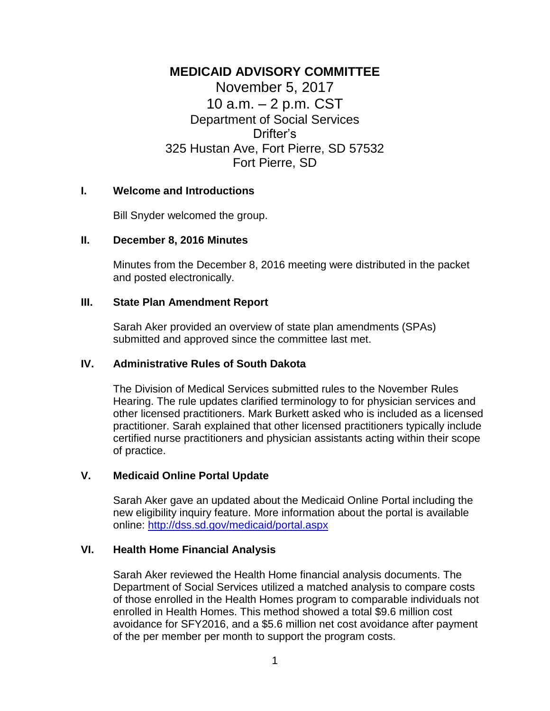# **MEDICAID ADVISORY COMMITTEE**

November 5, 2017 10 a.m. – 2 p.m. CST Department of Social Services Drifter's 325 Hustan Ave, Fort Pierre, SD 57532 Fort Pierre, SD

#### **I. Welcome and Introductions**

Bill Snyder welcomed the group.

#### **II. December 8, 2016 Minutes**

Minutes from the December 8, 2016 meeting were distributed in the packet and posted electronically.

#### **III. State Plan Amendment Report**

Sarah Aker provided an overview of state plan amendments (SPAs) submitted and approved since the committee last met.

### **IV. Administrative Rules of South Dakota**

The Division of Medical Services submitted rules to the November Rules Hearing. The rule updates clarified terminology to for physician services and other licensed practitioners. Mark Burkett asked who is included as a licensed practitioner. Sarah explained that other licensed practitioners typically include certified nurse practitioners and physician assistants acting within their scope of practice.

### **V. Medicaid Online Portal Update**

Sarah Aker gave an updated about the Medicaid Online Portal including the new eligibility inquiry feature. More information about the portal is available online:<http://dss.sd.gov/medicaid/portal.aspx>

## **VI. Health Home Financial Analysis**

Sarah Aker reviewed the Health Home financial analysis documents. The Department of Social Services utilized a matched analysis to compare costs of those enrolled in the Health Homes program to comparable individuals not enrolled in Health Homes. This method showed a total \$9.6 million cost avoidance for SFY2016, and a \$5.6 million net cost avoidance after payment of the per member per month to support the program costs.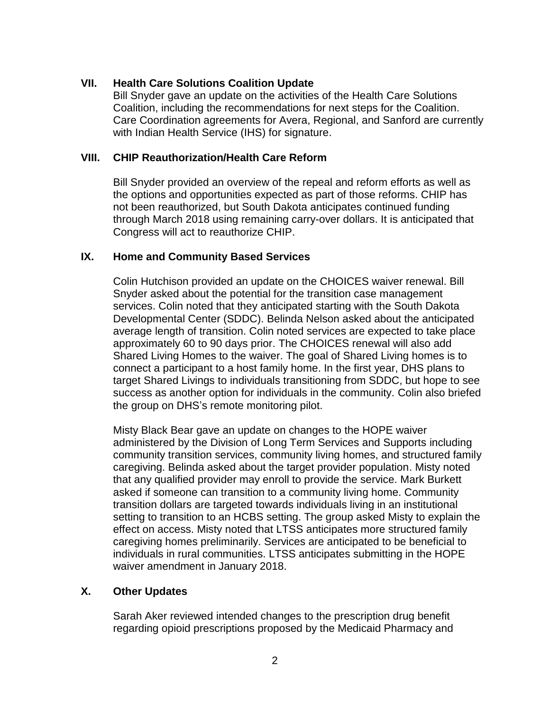## **VII. Health Care Solutions Coalition Update**

Bill Snyder gave an update on the activities of the Health Care Solutions Coalition, including the recommendations for next steps for the Coalition. Care Coordination agreements for Avera, Regional, and Sanford are currently with Indian Health Service (IHS) for signature.

### **VIII. CHIP Reauthorization/Health Care Reform**

Bill Snyder provided an overview of the repeal and reform efforts as well as the options and opportunities expected as part of those reforms. CHIP has not been reauthorized, but South Dakota anticipates continued funding through March 2018 using remaining carry-over dollars. It is anticipated that Congress will act to reauthorize CHIP.

## **IX. Home and Community Based Services**

Colin Hutchison provided an update on the CHOICES waiver renewal. Bill Snyder asked about the potential for the transition case management services. Colin noted that they anticipated starting with the South Dakota Developmental Center (SDDC). Belinda Nelson asked about the anticipated average length of transition. Colin noted services are expected to take place approximately 60 to 90 days prior. The CHOICES renewal will also add Shared Living Homes to the waiver. The goal of Shared Living homes is to connect a participant to a host family home. In the first year, DHS plans to target Shared Livings to individuals transitioning from SDDC, but hope to see success as another option for individuals in the community. Colin also briefed the group on DHS's remote monitoring pilot.

Misty Black Bear gave an update on changes to the HOPE waiver administered by the Division of Long Term Services and Supports including community transition services, community living homes, and structured family caregiving. Belinda asked about the target provider population. Misty noted that any qualified provider may enroll to provide the service. Mark Burkett asked if someone can transition to a community living home. Community transition dollars are targeted towards individuals living in an institutional setting to transition to an HCBS setting. The group asked Misty to explain the effect on access. Misty noted that LTSS anticipates more structured family caregiving homes preliminarily. Services are anticipated to be beneficial to individuals in rural communities. LTSS anticipates submitting in the HOPE waiver amendment in January 2018.

# **X. Other Updates**

Sarah Aker reviewed intended changes to the prescription drug benefit regarding opioid prescriptions proposed by the Medicaid Pharmacy and